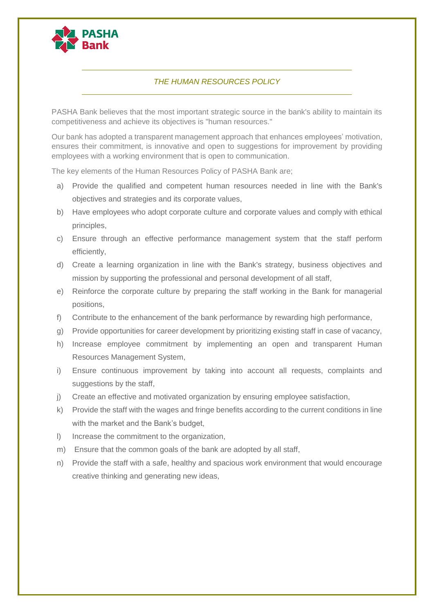

# *THE HUMAN RESOURCES POLICY*

PASHA Bank believes that the most important strategic source in the bank's ability to maintain its competitiveness and achieve its objectives is "human resources."

Our bank has adopted a transparent management approach that enhances employees' motivation, ensures their commitment, is innovative and open to suggestions for improvement by providing employees with a working environment that is open to communication.

The key elements of the Human Resources Policy of PASHA Bank are;

- a) Provide the qualified and competent human resources needed in line with the Bank's objectives and strategies and its corporate values,
- b) Have employees who adopt corporate culture and corporate values and comply with ethical principles,
- c) Ensure through an effective performance management system that the staff perform efficiently,
- d) Create a learning organization in line with the Bank's strategy, business objectives and mission by supporting the professional and personal development of all staff,
- e) Reinforce the corporate culture by preparing the staff working in the Bank for managerial positions,
- f) Contribute to the enhancement of the bank performance by rewarding high performance,
- g) Provide opportunities for career development by prioritizing existing staff in case of vacancy,
- h) Increase employee commitment by implementing an open and transparent Human Resources Management System,
- i) Ensure continuous improvement by taking into account all requests, complaints and suggestions by the staff,
- j) Create an effective and motivated organization by ensuring employee satisfaction,
- k) Provide the staff with the wages and fringe benefits according to the current conditions in line with the market and the Bank's budget,
- l) Increase the commitment to the organization,
- m) Ensure that the common goals of the bank are adopted by all staff,
- n) Provide the staff with a safe, healthy and spacious work environment that would encourage creative thinking and generating new ideas,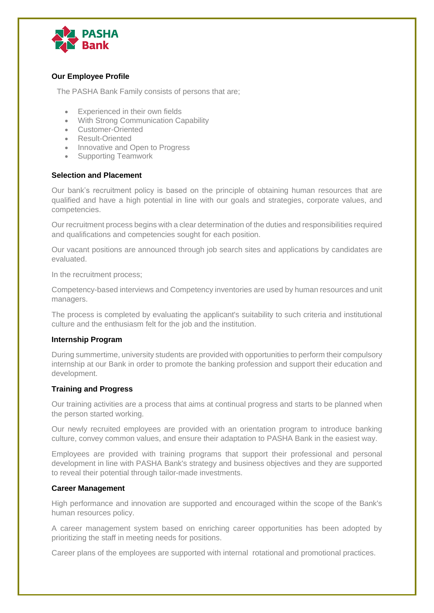

## **Our Employee Profile**

The PASHA Bank Family consists of persons that are;

- Experienced in their own fields
- With Strong Communication Capability
- Customer-Oriented
- Result-Oriented
- Innovative and Open to Progress
- Supporting Teamwork

### **Selection and Placement**

Our bank's recruitment policy is based on the principle of obtaining human resources that are qualified and have a high potential in line with our goals and strategies, corporate values, and competencies.

Our recruitment process begins with a clear determination of the duties and responsibilities required and qualifications and competencies sought for each position.

Our vacant positions are announced through job search sites and applications by candidates are evaluated.

In the recruitment process;

Competency-based interviews and Competency inventories are used by human resources and unit managers.

The process is completed by evaluating the applicant's suitability to such criteria and institutional culture and the enthusiasm felt for the job and the institution.

#### **Internship Program**

During summertime, university students are provided with opportunities to perform their compulsory internship at our Bank in order to promote the banking profession and support their education and development.

### **Training and Progress**

Our training activities are a process that aims at continual progress and starts to be planned when the person started working.

Our newly recruited employees are provided with an orientation program to introduce banking culture, convey common values, and ensure their adaptation to PASHA Bank in the easiest way.

Employees are provided with training programs that support their professional and personal development in line with PASHA Bank's strategy and business objectives and they are supported to reveal their potential through tailor-made investments.

### **Career Management**

High performance and innovation are supported and encouraged within the scope of the Bank's human resources policy.

A career management system based on enriching career opportunities has been adopted by prioritizing the staff in meeting needs for positions.

Career plans of the employees are supported with internal rotational and promotional practices.